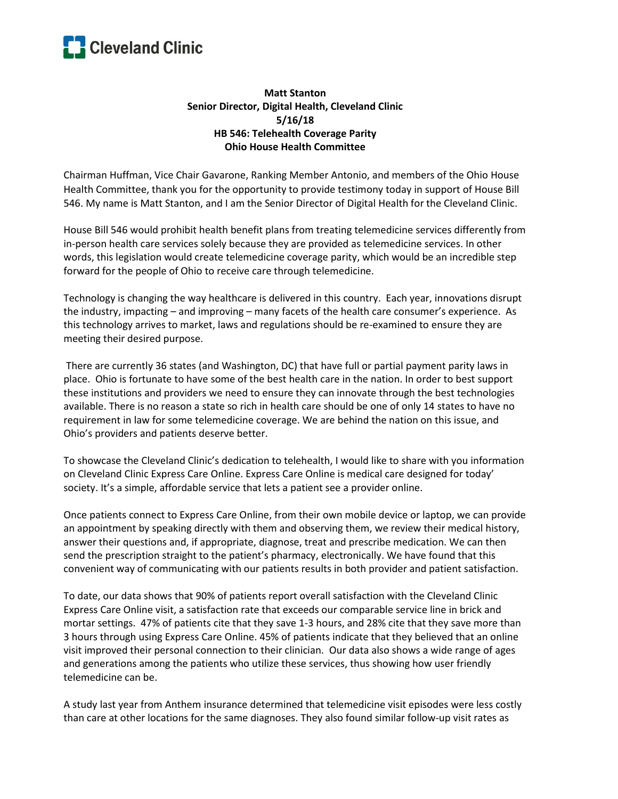

## **Matt Stanton Senior Director, Digital Health, Cleveland Clinic 5/16/18 HB 546: Telehealth Coverage Parity Ohio House Health Committee**

Chairman Huffman, Vice Chair Gavarone, Ranking Member Antonio, and members of the Ohio House Health Committee, thank you for the opportunity to provide testimony today in support of House Bill 546. My name is Matt Stanton, and I am the Senior Director of Digital Health for the Cleveland Clinic.

House Bill 546 would prohibit health benefit plans from treating telemedicine services differently from in-person health care services solely because they are provided as telemedicine services. In other words, this legislation would create telemedicine coverage parity, which would be an incredible step forward for the people of Ohio to receive care through telemedicine.

Technology is changing the way healthcare is delivered in this country. Each year, innovations disrupt the industry, impacting – and improving – many facets of the health care consumer's experience. As this technology arrives to market, laws and regulations should be re-examined to ensure they are meeting their desired purpose.

There are currently 36 states (and Washington, DC) that have full or partial payment parity laws in place. Ohio is fortunate to have some of the best health care in the nation. In order to best support these institutions and providers we need to ensure they can innovate through the best technologies available. There is no reason a state so rich in health care should be one of only 14 states to have no requirement in law for some telemedicine coverage. We are behind the nation on this issue, and Ohio's providers and patients deserve better.

To showcase the Cleveland Clinic's dedication to telehealth, I would like to share with you information on Cleveland Clinic Express Care Online. Express Care Online is medical care designed for today' society. It's a simple, affordable service that lets a patient see a provider online.

Once patients connect to Express Care Online, from their own mobile device or laptop, we can provide an appointment by speaking directly with them and observing them, we review their medical history, answer their questions and, if appropriate, diagnose, treat and prescribe medication. We can then send the prescription straight to the patient's pharmacy, electronically. We have found that this convenient way of communicating with our patients results in both provider and patient satisfaction.

To date, our data shows that 90% of patients report overall satisfaction with the Cleveland Clinic Express Care Online visit, a satisfaction rate that exceeds our comparable service line in brick and mortar settings. 47% of patients cite that they save 1-3 hours, and 28% cite that they save more than 3 hours through using Express Care Online. 45% of patients indicate that they believed that an online visit improved their personal connection to their clinician. Our data also shows a wide range of ages and generations among the patients who utilize these services, thus showing how user friendly telemedicine can be.

A study last year from Anthem insurance determined that telemedicine visit episodes were less costly than care at other locations for the same diagnoses. They also found similar follow-up visit rates as